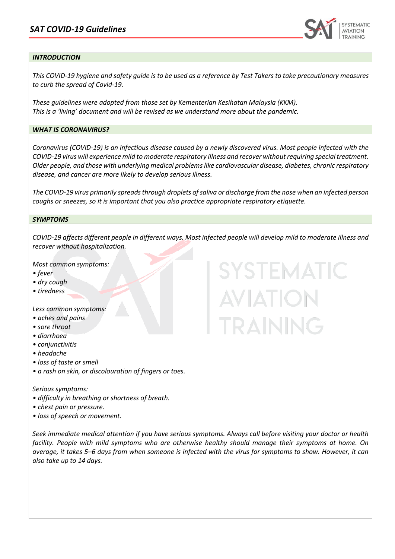

### *INTRODUCTION*

Ī

*This COVID-19 hygiene and safety guide is to be used as a reference by Test Takers to take precautionary measures to curb the spread of Covid-19.* 

*These guidelines were adopted from those set by Kementerian Kesihatan Malaysia (KKM). This is a 'living' document and will be revised as we understand more about the pandemic.*

### *WHAT IS CORONAVIRUS?*

*Coronavirus (COVID-19) is an infectious disease caused by a newly discovered virus. Most people infected with the COVID-19 virus will experience mild to moderate respiratory illness and recover without requiring special treatment. Older people, and those with underlying medical problems like cardiovascular disease, diabetes, chronic respiratory disease, and cancer are more likely to develop serious illness.*

*The COVID-19 virus primarily spreads through droplets of saliva or discharge from the nose when an infected person coughs or sneezes, so it is important that you also practice appropriate respiratory etiquette.*

#### *SYMPTOMS*

*COVID-19 affects different people in different ways. Most infected people will develop mild to moderate illness and recover without hospitalization.* 

**SYSTEMATIC** 

**AVIATION** 

TRAINING

*Most common symptoms:* 

- *fever*
- *dry cough*
- *tiredness*

*Less common symptoms:* 

- *aches and pains*
- *sore throat*
- *diarrhoea*
- *conjunctivitis*
- *headache*
- *loss of taste or smell*
- *a rash on skin, or discolouration of fingers or toes.*

#### *Serious symptoms:*

- *difficulty in breathing or shortness of breath.*
- *chest pain or pressure.*
- *loss of speech or movement.*

*Seek immediate medical attention if you have serious symptoms. Always call before visiting your doctor or health facility. People with mild symptoms who are otherwise healthy should manage their symptoms at home. On average, it takes 5–6 days from when someone is infected with the virus for symptoms to show. However, it can also take up to 14 days.*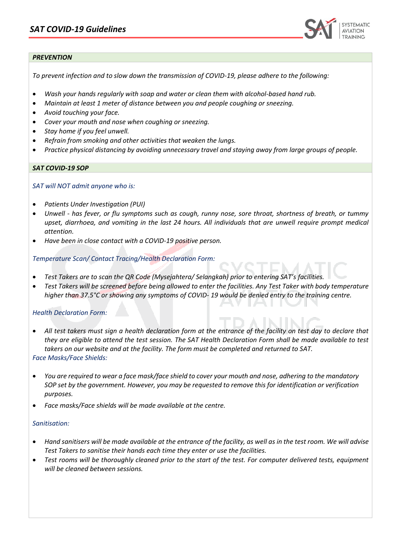

# *PREVENTION*

Ī

*To prevent infection and to slow down the transmission of COVID-19, please adhere to the following:* 

- *Wash your hands regularly with soap and water or clean them with alcohol-based hand rub.*
- *Maintain at least 1 meter of distance between you and people coughing or sneezing.*
- *Avoid touching your face.*
- *Cover your mouth and nose when coughing or sneezing.*
- *Stay home if you feel unwell.*
- *Refrain from smoking and other activities that weaken the lungs.*
- *Practice physical distancing by avoiding unnecessary travel and staying away from large groups of people.*

### *SAT COVID-19 SOP*

*SAT will NOT admit anyone who is:* 

- *Patients Under Investigation (PUI)*
- *Unwell - has fever, or flu symptoms such as cough, runny nose, sore throat, shortness of breath, or tummy upset, diarrhoea, and vomiting in the last 24 hours. All individuals that are unwell require prompt medical attention.*
- *Have been in close contact with a COVID-19 positive person.*

*Temperature Scan/ Contact Tracing/Health Declaration Form:*

- *Test Takers are to scan the QR Code (Mysejahtera/ Selangkah) prior to entering SAT's facilities.*
- *Test Takers will be screened before being allowed to enter the facilities. Any Test Taker with body temperature higher than 37.5°C or showing any symptoms of COVID- 19 would be denied entry to the training centre.*

### *Health Declaration Form:*

- *All test takers must sign a health declaration form at the entrance of the facility on test day to declare that they are eligible to attend the test session. The SAT Health Declaration Form shall be made available to test takers on our website and at the facility. The form must be completed and returned to SAT. Face Masks/Face Shields:*
- *You are required to wear a face mask/face shield to cover your mouth and nose, adhering to the mandatory SOP set by the government. However, you may be requested to remove this for identification or verification purposes.*
- *Face masks/Face shields will be made available at the centre.*

### *Sanitisation:*

- *Hand sanitisers will be made available at the entrance of the facility, as well as in the test room. We will advise Test Takers to sanitise their hands each time they enter or use the facilities.*
- *Test rooms will be thoroughly cleaned prior to the start of the test. For computer delivered tests, equipment will be cleaned between sessions.*